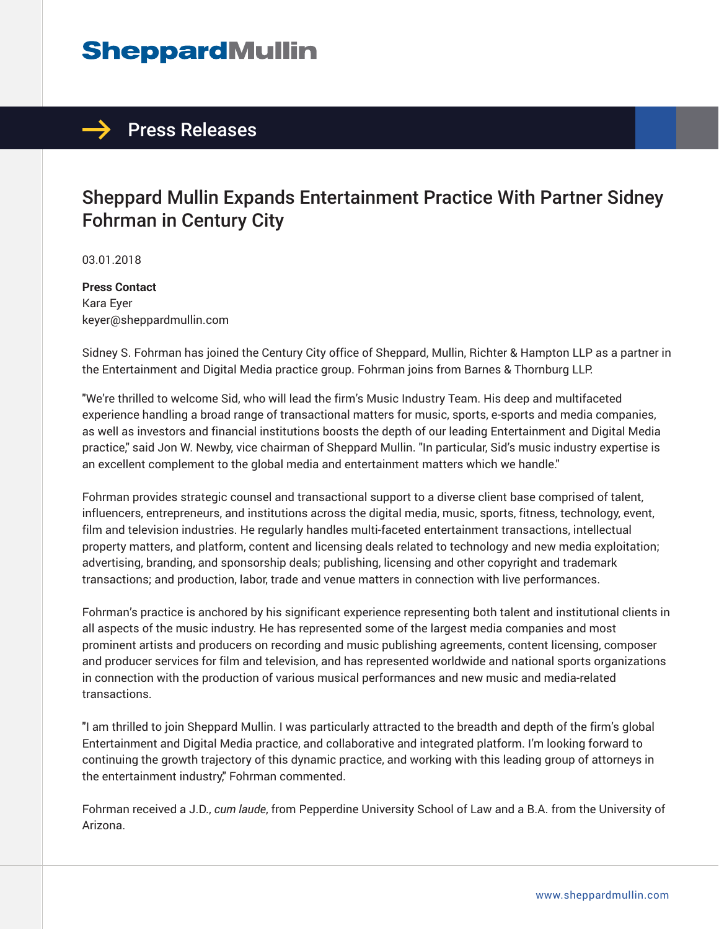## **SheppardMullin**



## Sheppard Mullin Expands Entertainment Practice With Partner Sidney Fohrman in Century City

03.01.2018

**Press Contact** Kara Eyer keyer@sheppardmullin.com

Sidney S. Fohrman has joined the Century City office of Sheppard, Mullin, Richter & Hampton LLP as a partner in the Entertainment and Digital Media practice group. Fohrman joins from Barnes & Thornburg LLP.

"We're thrilled to welcome Sid, who will lead the firm's Music Industry Team. His deep and multifaceted experience handling a broad range of transactional matters for music, sports, e-sports and media companies, as well as investors and financial institutions boosts the depth of our leading Entertainment and Digital Media practice," said Jon W. Newby, vice chairman of Sheppard Mullin. "In particular, Sid's music industry expertise is an excellent complement to the global media and entertainment matters which we handle."

Fohrman provides strategic counsel and transactional support to a diverse client base comprised of talent, influencers, entrepreneurs, and institutions across the digital media, music, sports, fitness, technology, event, film and television industries. He regularly handles multi-faceted entertainment transactions, intellectual property matters, and platform, content and licensing deals related to technology and new media exploitation; advertising, branding, and sponsorship deals; publishing, licensing and other copyright and trademark transactions; and production, labor, trade and venue matters in connection with live performances.

Fohrman's practice is anchored by his significant experience representing both talent and institutional clients in all aspects of the music industry. He has represented some of the largest media companies and most prominent artists and producers on recording and music publishing agreements, content licensing, composer and producer services for film and television, and has represented worldwide and national sports organizations in connection with the production of various musical performances and new music and media-related transactions.

"I am thrilled to join Sheppard Mullin. I was particularly attracted to the breadth and depth of the firm's global Entertainment and Digital Media practice, and collaborative and integrated platform. I'm looking forward to continuing the growth trajectory of this dynamic practice, and working with this leading group of attorneys in the entertainment industry," Fohrman commented.

Fohrman received a J.D., *cum laude*, from Pepperdine University School of Law and a B.A. from the University of Arizona.